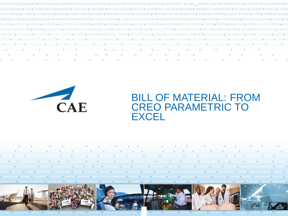



## BILL OF MATERIAL: FROM CREO PARAMETRIC TO **EXCEL**





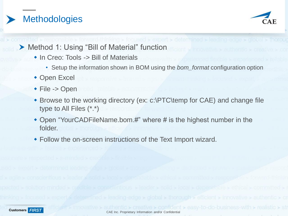



▶ Method 1: Using "Bill of Material" function

- In Creo: Tools -> Bill of Materials
	- Setup the information shown in BOM using the *bom\_format* configuration option
- Open Excel
- ◆ File -> Open
- Browse to the working directory (ex: c:\PTC\temp for CAE) and change file type to All Files (\*.\*)
- Open "YourCADFileName.bom.#" where # is the highest number in the folder.
- Follow the on-screen instructions of the Text Import wizard.



ve > authentic > creative > confident > easy-to-do-business-with > realistic > str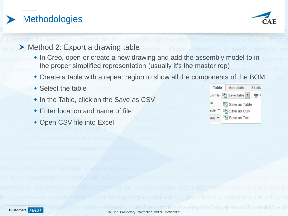



- ▶ Method 2: Export a drawing table
	- In Creo, open or create a new drawing and add the assembly model to in the proper simplified representation (usually it's the master rep)
	- Create a table with a repeat region to show all the components of the BOM.

CAE Inc. Proprietary Information and/or Confidential

ative > authentic > creative > confident > easy-to-do-business-with > realistic > str

- Select the table
- In the Table, click on the Save as CSV
- Enter location and name of file
- Open CSV file into Excel

| Table           |               | Annotate                | <b>Sketc</b> |  |  |  |  |
|-----------------|---------------|-------------------------|--------------|--|--|--|--|
|                 |               | om File File Save Table | キノ           |  |  |  |  |
| <b>ble</b>      |               | 插 Save as Table         |              |  |  |  |  |
| able $\sqrt{ }$ | 图 Save as CSV |                         |              |  |  |  |  |
| able ▼          |               | 鬥 Save as Text          |              |  |  |  |  |

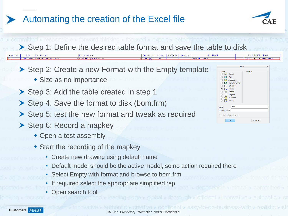## Automating the creation of the Excel file



Step 1: Define the desired table format and save the table to disk

**Remarks** 

authentic > creative > confident > easy-to-do-business-with > realistic > str

- ▶ Step 2: Create a new Format with the Empty template
	- Size as no importance

PartNumber

rpt.index <mark>\$asm.mbr.param;</mark>

Step 3: Add the table created in step 1

**Kasm mbc param val** 

- ▶ Step 4: Save the format to disk (bom.frm)
- ▶ Step 5: test the new format and tweak as required
- Step 6: Record a mapkey
	- Open a test assembly
	- Start the recording of the mapkey
		- Create new drawing using default name
		- Default model should be the active model, so no action required there

CAE Inc. Proprietary Information and/or Confidential

- Select Empty with format and browse to bom.frm
- If required select the appropriate simplified rep
- Open search tool



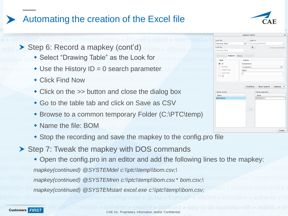## Automating the creation of the Excel file



▶ Step 6: Record a mapkey (cont'd)

- Select "Drawing Table" as the Look for
- $\triangleleft$  Use the History ID = 0 search parameter
- Click Find Now
- Click on the  $\gg$  button and close the dialog box
- Go to the table tab and click on Save as CSV
- Browse to a common temporary Folder (C:\PTC\temp)
- Name the file: BOM
- Stop the recording and save the mapkey to the config.pro file
- Step 7: Tweak the mapkey with DOS commands
	- Open the config.pro in an editor and add the following lines to the mapkey: *mapkey(continued) @SYSTEMdel c:\\ptc\\temp\\bom.csv;\*

CAE Inc. Proprietary Information and/or Confidential

re > authentic > creative > confident > easy-to-do-business-with > realistic > str

*mapkey(continued) @SYSTEMren c:\\ptc\\temp\\bom.csv.\* bom.csv;\*

*mapkey(continued) @SYSTEMstart excel.exe c:\\ptc\\temp\\bom.csv;*